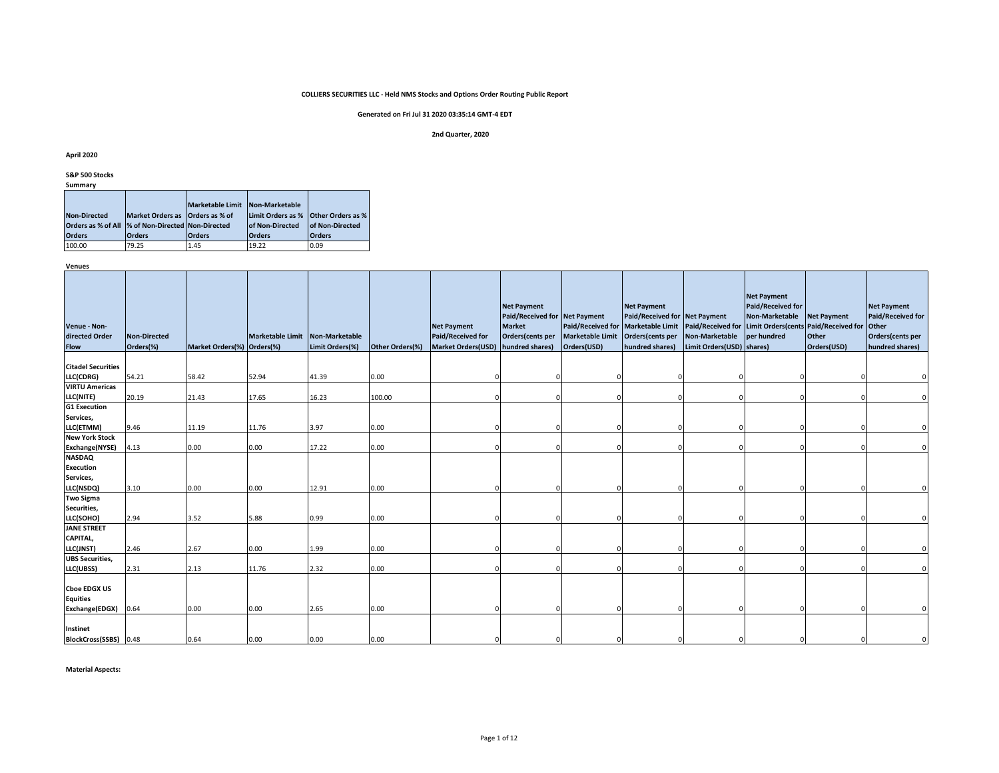# **Generated on Fri Jul 31 2020 03:35:14 GMT-4 EDT**

#### **2nd Quarter, 2020**

#### **April 2020**

**S&P 500 Stocks**

|  | ummarv |  |
|--|--------|--|
|  |        |  |

|                                                    |                                 | <b>Marketable Limit</b> | Non-Marketable                      |                        |
|----------------------------------------------------|---------------------------------|-------------------------|-------------------------------------|------------------------|
| <b>Non-Directed</b>                                | Market Orders as Orders as % of |                         | Limit Orders as % Other Orders as % |                        |
| Orders as % of All  % of Non-Directed Non-Directed |                                 |                         | <b>of Non-Directed</b>              | <b>of Non-Directed</b> |
| <b>Orders</b>                                      | <b>Orders</b>                   | <b>Orders</b>           | <b>Orders</b>                       | <b>Orders</b>          |
| 100.00                                             | 79.25                           | 1.45                    | 19.22                               | 0.09                   |

**Venues**

| Venue - Non-<br>directed Order<br><b>Flow</b>            | <b>Non-Directed</b><br>Orders(%) | Market Orders(%) Orders(%) | Marketable Limit Non-Marketable | Limit Orders(%) | Other Orders(%) | <b>Net Payment</b><br><b>Paid/Received for</b><br><b>Market Orders(USD)</b> | <b>Net Payment</b><br>Paid/Received for Net Payment<br><b>Market</b><br>Orders(cents per<br>hundred shares) | <b>Marketable Limit</b><br>Orders(USD) | <b>Net Payment</b><br>Paid/Received for Net Payment<br>Orders(cents per<br>hundred shares) | Paid/Received for Marketable Limit Paid/Received for Limit Orders(cents<br>Non-Marketable<br>Limit Orders(USD) shares) | <b>Net Payment</b><br><b>Paid/Received for</b><br><b>Non-Marketable</b><br>per hundred | <b>Net Payment</b><br><b>Paid/Received for</b><br>Other<br>Orders(USD) | <b>Net Payment</b><br><b>Paid/Received for</b><br>Other<br>Orders(cents per<br>hundred shares) |
|----------------------------------------------------------|----------------------------------|----------------------------|---------------------------------|-----------------|-----------------|-----------------------------------------------------------------------------|-------------------------------------------------------------------------------------------------------------|----------------------------------------|--------------------------------------------------------------------------------------------|------------------------------------------------------------------------------------------------------------------------|----------------------------------------------------------------------------------------|------------------------------------------------------------------------|------------------------------------------------------------------------------------------------|
| <b>Citadel Securities</b>                                |                                  |                            |                                 |                 |                 |                                                                             |                                                                                                             |                                        |                                                                                            |                                                                                                                        |                                                                                        |                                                                        |                                                                                                |
| LLC(CDRG)                                                | 54.21                            | 58.42                      | 52.94                           | 41.39           | 0.00            |                                                                             |                                                                                                             |                                        |                                                                                            |                                                                                                                        |                                                                                        |                                                                        |                                                                                                |
| <b>VIRTU Americas</b>                                    |                                  |                            |                                 |                 |                 |                                                                             |                                                                                                             |                                        |                                                                                            |                                                                                                                        |                                                                                        |                                                                        |                                                                                                |
| LLC(NITE)                                                | 20.19                            | 21.43                      | 17.65                           | 16.23           | 100.00          |                                                                             |                                                                                                             |                                        |                                                                                            |                                                                                                                        |                                                                                        |                                                                        |                                                                                                |
| <b>G1 Execution</b>                                      |                                  |                            |                                 |                 |                 |                                                                             |                                                                                                             |                                        |                                                                                            |                                                                                                                        |                                                                                        |                                                                        |                                                                                                |
| Services,                                                |                                  |                            |                                 |                 |                 |                                                                             |                                                                                                             |                                        |                                                                                            |                                                                                                                        |                                                                                        |                                                                        |                                                                                                |
| LLC(ETMM)<br><b>New York Stock</b>                       | 9.46                             | 11.19                      | 11.76                           | 3.97            | 0.00            |                                                                             |                                                                                                             |                                        |                                                                                            |                                                                                                                        |                                                                                        |                                                                        |                                                                                                |
| Exchange(NYSE)                                           | 4.13                             | 0.00                       | 0.00                            | 17.22           | 0.00            |                                                                             |                                                                                                             |                                        |                                                                                            |                                                                                                                        |                                                                                        |                                                                        |                                                                                                |
| <b>NASDAQ</b>                                            |                                  |                            |                                 |                 |                 |                                                                             |                                                                                                             |                                        |                                                                                            |                                                                                                                        |                                                                                        |                                                                        |                                                                                                |
| <b>Execution</b>                                         |                                  |                            |                                 |                 |                 |                                                                             |                                                                                                             |                                        |                                                                                            |                                                                                                                        |                                                                                        |                                                                        |                                                                                                |
| Services,                                                |                                  |                            |                                 |                 |                 |                                                                             |                                                                                                             |                                        |                                                                                            |                                                                                                                        |                                                                                        |                                                                        |                                                                                                |
| LLC(NSDQ)                                                | 3.10                             | 0.00                       | 0.00                            | 12.91           | 0.00            |                                                                             |                                                                                                             |                                        |                                                                                            |                                                                                                                        |                                                                                        |                                                                        |                                                                                                |
| <b>Two Sigma</b>                                         |                                  |                            |                                 |                 |                 |                                                                             |                                                                                                             |                                        |                                                                                            |                                                                                                                        |                                                                                        |                                                                        |                                                                                                |
| Securities,                                              |                                  |                            |                                 |                 |                 |                                                                             |                                                                                                             |                                        |                                                                                            |                                                                                                                        |                                                                                        |                                                                        |                                                                                                |
| LLC(SOHO)                                                | 2.94                             | 3.52                       | 5.88                            | 0.99            | 0.00            |                                                                             |                                                                                                             |                                        |                                                                                            |                                                                                                                        |                                                                                        |                                                                        |                                                                                                |
| <b>JANE STREET</b>                                       |                                  |                            |                                 |                 |                 |                                                                             |                                                                                                             |                                        |                                                                                            |                                                                                                                        |                                                                                        |                                                                        |                                                                                                |
| CAPITAL,                                                 |                                  |                            |                                 |                 |                 |                                                                             |                                                                                                             |                                        |                                                                                            |                                                                                                                        |                                                                                        |                                                                        |                                                                                                |
| LLC(JNST)                                                | 2.46                             | 2.67                       | 0.00                            | 1.99            | 0.00            |                                                                             |                                                                                                             |                                        |                                                                                            |                                                                                                                        |                                                                                        |                                                                        |                                                                                                |
| <b>UBS Securities,</b>                                   |                                  |                            |                                 |                 |                 |                                                                             |                                                                                                             |                                        |                                                                                            |                                                                                                                        |                                                                                        |                                                                        |                                                                                                |
| LLC(UBSS)                                                | 2.31                             | 2.13                       | 11.76                           | 2.32            | 0.00            |                                                                             |                                                                                                             |                                        |                                                                                            |                                                                                                                        |                                                                                        |                                                                        |                                                                                                |
| <b>Cboe EDGX US</b><br><b>Equities</b><br>Exchange(EDGX) | 0.64                             | 0.00                       | 0.00                            | 2.65            | 0.00            |                                                                             |                                                                                                             |                                        |                                                                                            |                                                                                                                        |                                                                                        |                                                                        |                                                                                                |
| Instinet<br>BlockCross(SSBS) 0.48                        |                                  | 0.64                       | 0.00                            | 0.00            | 0.00            |                                                                             |                                                                                                             |                                        |                                                                                            |                                                                                                                        |                                                                                        |                                                                        |                                                                                                |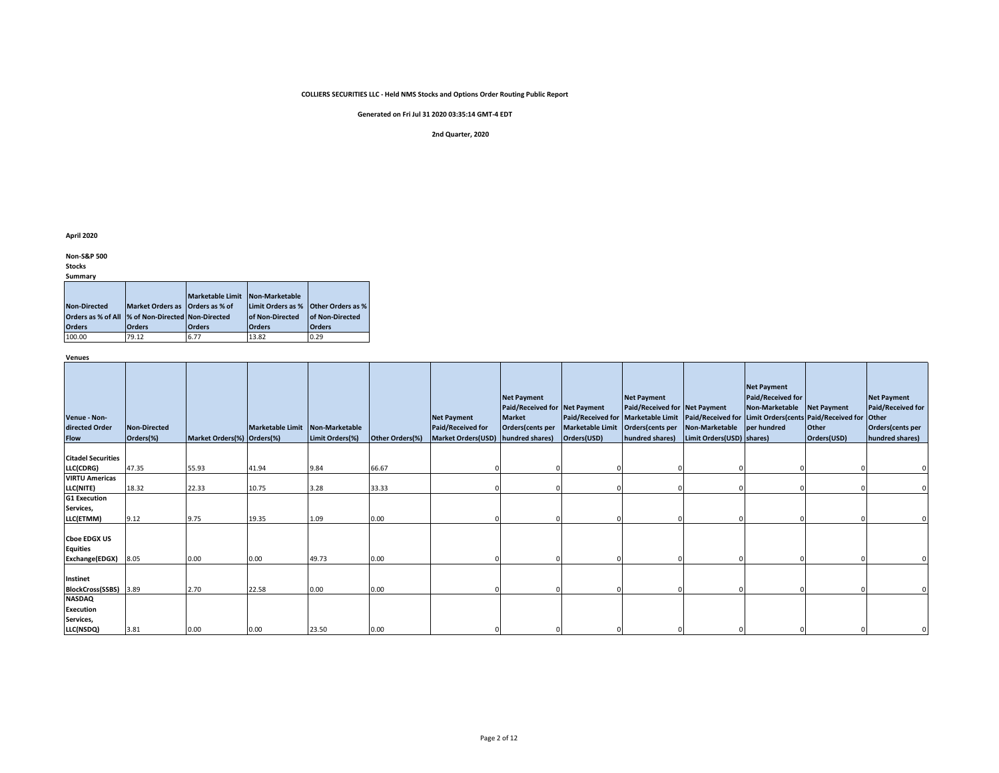**Generated on Fri Jul 31 2020 03:35:14 GMT-4 EDT**

#### **2nd Quarter, 2020**

**April 2020**

**Non-S&P 500** 

**Stocks**

**Summary**

|                                                    |                                 | <b>Marketable Limit</b> | Non-Marketable                      |                        |
|----------------------------------------------------|---------------------------------|-------------------------|-------------------------------------|------------------------|
| <b>Non-Directed</b>                                | Market Orders as Orders as % of |                         | Limit Orders as % Other Orders as % |                        |
| Orders as % of All  % of Non-Directed Non-Directed |                                 |                         | <b>of Non-Directed</b>              | <b>of Non-Directed</b> |
| <b>Orders</b>                                      | <b>Orders</b>                   | <b>Orders</b>           | <b>Orders</b>                       | <b>Orders</b>          |
| 100.00                                             | 79.12                           | 6.77                    | 13.82                               | 0.29                   |

**Venues**

| Venue - Non-<br>directed Order<br><b>Flow</b>            | Non-Directed<br>Orders(%) | Market Orders(%) Orders(%) | Marketable Limit Non-Marketable | Limit Orders(%) | Other Orders(%) | <b>Net Payment</b><br>Paid/Received for<br><b>Market Orders(USD)</b> | <b>Net Payment</b><br>Paid/Received for Net Payment<br><b>Market</b><br>Orders(cents per<br>hundred shares) | <b>Marketable Limit</b><br>Orders(USD) | <b>Net Payment</b><br>Paid/Received for Net Payment<br>Orders(cents per Non-Marketable<br>hundred shares) | Limit Orders(USD) shares) | <b>Net Payment</b><br><b>Paid/Received for</b><br>Non-Marketable<br>Paid/Received for Marketable Limit Paid/Received for Limit Orders(cents Paid/Received for Other<br>per hundred | <b>Net Payment</b><br>Other<br>Orders(USD) | <b>Net Payment</b><br>Paid/Received for<br>Orders(cents per<br>hundred shares) |
|----------------------------------------------------------|---------------------------|----------------------------|---------------------------------|-----------------|-----------------|----------------------------------------------------------------------|-------------------------------------------------------------------------------------------------------------|----------------------------------------|-----------------------------------------------------------------------------------------------------------|---------------------------|------------------------------------------------------------------------------------------------------------------------------------------------------------------------------------|--------------------------------------------|--------------------------------------------------------------------------------|
|                                                          |                           |                            |                                 |                 |                 |                                                                      |                                                                                                             |                                        |                                                                                                           |                           |                                                                                                                                                                                    |                                            |                                                                                |
| <b>Citadel Securities</b>                                |                           |                            |                                 |                 |                 |                                                                      |                                                                                                             |                                        |                                                                                                           |                           |                                                                                                                                                                                    |                                            |                                                                                |
| LLC(CDRG)                                                | 47.35                     | 55.93                      | 41.94                           | 9.84            | 66.67           |                                                                      |                                                                                                             |                                        |                                                                                                           |                           |                                                                                                                                                                                    |                                            |                                                                                |
| <b>VIRTU Americas</b>                                    |                           |                            |                                 |                 |                 |                                                                      |                                                                                                             |                                        |                                                                                                           |                           |                                                                                                                                                                                    |                                            |                                                                                |
| LLC(NITE)                                                | 18.32                     | 22.33                      | 10.75                           | 3.28            | 33.33           |                                                                      |                                                                                                             |                                        |                                                                                                           |                           |                                                                                                                                                                                    |                                            |                                                                                |
| <b>G1 Execution</b>                                      |                           |                            |                                 |                 |                 |                                                                      |                                                                                                             |                                        |                                                                                                           |                           |                                                                                                                                                                                    |                                            |                                                                                |
| Services,                                                |                           |                            |                                 |                 |                 |                                                                      |                                                                                                             |                                        |                                                                                                           |                           |                                                                                                                                                                                    |                                            |                                                                                |
| LLC(ETMM)                                                | 9.12                      | 9.75                       | 19.35                           | 1.09            | 0.00            |                                                                      |                                                                                                             |                                        |                                                                                                           |                           |                                                                                                                                                                                    |                                            |                                                                                |
| <b>Choe EDGX US</b><br><b>Equities</b><br>Exchange(EDGX) | 8.05                      | 0.00                       | 0.00                            | 49.73           | 0.00            |                                                                      |                                                                                                             |                                        |                                                                                                           |                           |                                                                                                                                                                                    |                                            |                                                                                |
|                                                          |                           |                            |                                 |                 |                 |                                                                      |                                                                                                             |                                        |                                                                                                           |                           |                                                                                                                                                                                    |                                            |                                                                                |
| <b>Instinet</b>                                          |                           |                            |                                 |                 |                 |                                                                      |                                                                                                             |                                        |                                                                                                           |                           |                                                                                                                                                                                    |                                            |                                                                                |
| <b>BlockCross(SSBS)</b>                                  | 3.89                      | 2.70                       | 22.58                           | 0.00            | 0.00            |                                                                      |                                                                                                             |                                        |                                                                                                           |                           |                                                                                                                                                                                    |                                            |                                                                                |
| <b>NASDAQ</b>                                            |                           |                            |                                 |                 |                 |                                                                      |                                                                                                             |                                        |                                                                                                           |                           |                                                                                                                                                                                    |                                            |                                                                                |
| <b>Execution</b>                                         |                           |                            |                                 |                 |                 |                                                                      |                                                                                                             |                                        |                                                                                                           |                           |                                                                                                                                                                                    |                                            |                                                                                |
| Services,                                                |                           |                            |                                 |                 |                 |                                                                      |                                                                                                             |                                        |                                                                                                           |                           |                                                                                                                                                                                    |                                            |                                                                                |
| LLC(NSDQ)                                                | 3.81                      | 0.00                       | 0.00                            | 23.50           | 0.00            |                                                                      |                                                                                                             |                                        |                                                                                                           |                           |                                                                                                                                                                                    |                                            |                                                                                |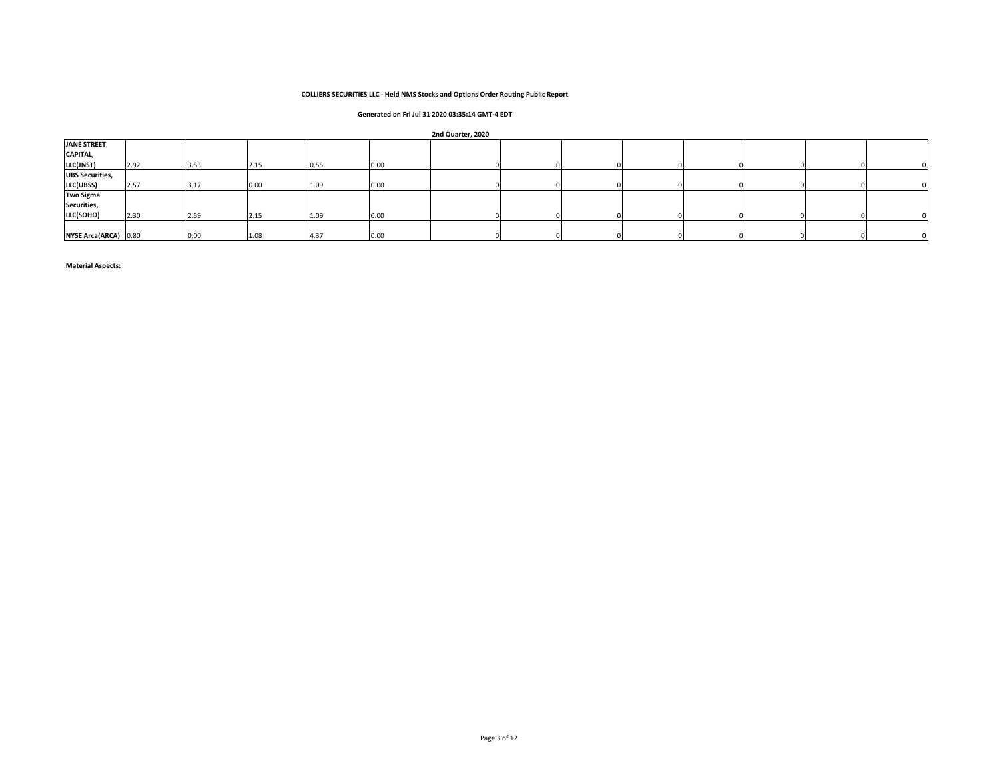# **Generated on Fri Jul 31 2020 03:35:14 GMT-4 EDT**

#### **2nd Quarter, 2020**

| <b>JANE STREET</b>     |      |      |      |      |      |  |  |  |  |
|------------------------|------|------|------|------|------|--|--|--|--|
| CAPITAL,               |      |      |      |      |      |  |  |  |  |
| LLC(JNST)              | 2.92 | 3.53 | 2.15 | 0.55 | 0.00 |  |  |  |  |
| <b>UBS Securities,</b> |      |      |      |      |      |  |  |  |  |
| LLC(UBSS)              | 2.57 | 3.17 | 0.00 | 1.09 | 0.00 |  |  |  |  |
| <b>Two Sigma</b>       |      |      |      |      |      |  |  |  |  |
| Securities,            |      |      |      |      |      |  |  |  |  |
| LLC(SOHO)              | 2.30 | 2.59 | 2.15 | 1.09 | 0.00 |  |  |  |  |
|                        |      |      |      |      |      |  |  |  |  |
| NYSE Arca(ARCA) 0.80   |      | 0.00 | 1.08 | 4.37 | 0.00 |  |  |  |  |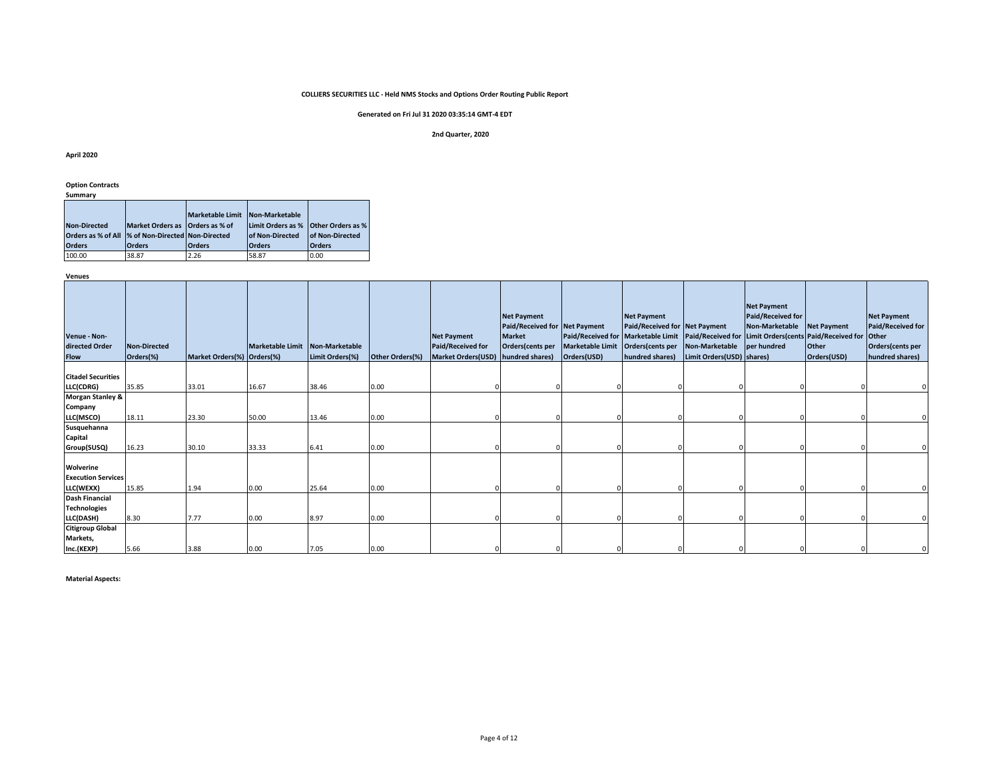# **Generated on Fri Jul 31 2020 03:35:14 GMT-4 EDT**

#### **2nd Quarter, 2020**

#### **April 2020**

#### **Option Contracts**

| summarv |
|---------|
|---------|

|                     |                                                    | <b>Marketable Limit</b> | Non-Marketable                      |                        |
|---------------------|----------------------------------------------------|-------------------------|-------------------------------------|------------------------|
| <b>Non-Directed</b> | Market Orders as Orders as % of                    |                         | Limit Orders as % Other Orders as % |                        |
|                     | Orders as % of All  % of Non-Directed Non-Directed |                         | <b>of Non-Directed</b>              | <b>of Non-Directed</b> |
| <b>Orders</b>       | <b>Orders</b>                                      | <b>Orders</b>           | <b>Orders</b>                       | <b>Orders</b>          |
| 100.00              | 38.87                                              | 2.26                    | 58.87                               | 0.00                   |

**Venues**

| Venue - Non-<br>directed Order<br><b>Flow</b> | <b>Non-Directed</b><br>Orders(%) | Market Orders(%) Orders(%) | Marketable Limit Non-Marketable | Limit Orders(%) | Other Orders(%) | <b>Net Payment</b><br>Paid/Received for<br>Market Orders(USD) hundred shares) | <b>Net Payment</b><br>Paid/Received for Net Payment<br><b>Market</b><br>Orders(cents per | Paid/Received for Marketable Limit   Paid/Received for Limit Orders (cents Paid/Received for<br>Marketable Limit Orders (cents per<br>Orders(USD) | <b>Net Payment</b><br>Paid/Received for Net Payment<br>hundred shares) | Non-Marketable per hundred<br>Limit Orders(USD) shares) | <b>Net Payment</b><br><b>Paid/Received for</b><br>Non-Marketable | <b>Net Payment</b><br>Other<br>Orders(USD) | <b>Net Payment</b><br>Paid/Received for<br><b>Other</b><br>Orders(cents per<br>hundred shares) |
|-----------------------------------------------|----------------------------------|----------------------------|---------------------------------|-----------------|-----------------|-------------------------------------------------------------------------------|------------------------------------------------------------------------------------------|---------------------------------------------------------------------------------------------------------------------------------------------------|------------------------------------------------------------------------|---------------------------------------------------------|------------------------------------------------------------------|--------------------------------------------|------------------------------------------------------------------------------------------------|
| <b>Citadel Securities</b>                     |                                  |                            |                                 |                 |                 |                                                                               |                                                                                          |                                                                                                                                                   |                                                                        |                                                         |                                                                  |                                            |                                                                                                |
| LLC(CDRG)                                     | 35.85                            | 33.01                      | 16.67                           | 38.46           | 0.00            |                                                                               |                                                                                          |                                                                                                                                                   |                                                                        |                                                         |                                                                  |                                            |                                                                                                |
| <b>Morgan Stanley &amp;</b>                   |                                  |                            |                                 |                 |                 |                                                                               |                                                                                          |                                                                                                                                                   |                                                                        |                                                         |                                                                  |                                            |                                                                                                |
| Company                                       |                                  |                            |                                 |                 |                 |                                                                               |                                                                                          |                                                                                                                                                   |                                                                        |                                                         |                                                                  |                                            |                                                                                                |
| LLC(MSCO)                                     | 18.11                            | 23.30                      | 50.00                           | 13.46           | 0.00            |                                                                               |                                                                                          |                                                                                                                                                   |                                                                        |                                                         |                                                                  |                                            |                                                                                                |
| Susquehanna                                   |                                  |                            |                                 |                 |                 |                                                                               |                                                                                          |                                                                                                                                                   |                                                                        |                                                         |                                                                  |                                            |                                                                                                |
| Capital                                       |                                  |                            |                                 |                 |                 |                                                                               |                                                                                          |                                                                                                                                                   |                                                                        |                                                         |                                                                  |                                            |                                                                                                |
| Group(SUSQ)                                   | 16.23                            | 30.10                      | 33.33                           | 6.41            | 0.00            |                                                                               |                                                                                          |                                                                                                                                                   |                                                                        |                                                         |                                                                  |                                            |                                                                                                |
| Wolverine                                     |                                  |                            |                                 |                 |                 |                                                                               |                                                                                          |                                                                                                                                                   |                                                                        |                                                         |                                                                  |                                            |                                                                                                |
| <b>Execution Services</b>                     |                                  |                            |                                 |                 |                 |                                                                               |                                                                                          |                                                                                                                                                   |                                                                        |                                                         |                                                                  |                                            |                                                                                                |
| LLC(WEXX)                                     | 15.85                            | 1.94                       | 0.00                            | 25.64           | 0.00            |                                                                               |                                                                                          |                                                                                                                                                   |                                                                        |                                                         |                                                                  |                                            |                                                                                                |
| <b>Dash Financial</b>                         |                                  |                            |                                 |                 |                 |                                                                               |                                                                                          |                                                                                                                                                   |                                                                        |                                                         |                                                                  |                                            |                                                                                                |
| <b>Technologies</b>                           |                                  |                            |                                 |                 |                 |                                                                               |                                                                                          |                                                                                                                                                   |                                                                        |                                                         |                                                                  |                                            |                                                                                                |
| LLC(DASH)                                     | 8.30                             | 7.77                       | 0.00                            | 8.97            | 0.00            |                                                                               |                                                                                          |                                                                                                                                                   |                                                                        |                                                         |                                                                  |                                            |                                                                                                |
| <b>Citigroup Global</b><br>Markets,           |                                  |                            |                                 |                 |                 |                                                                               |                                                                                          |                                                                                                                                                   |                                                                        |                                                         |                                                                  |                                            |                                                                                                |
| Inc.(KEXP)                                    | 5.66                             | 3.88                       | 0.00                            | 7.05            | 0.00            |                                                                               |                                                                                          |                                                                                                                                                   |                                                                        |                                                         |                                                                  |                                            |                                                                                                |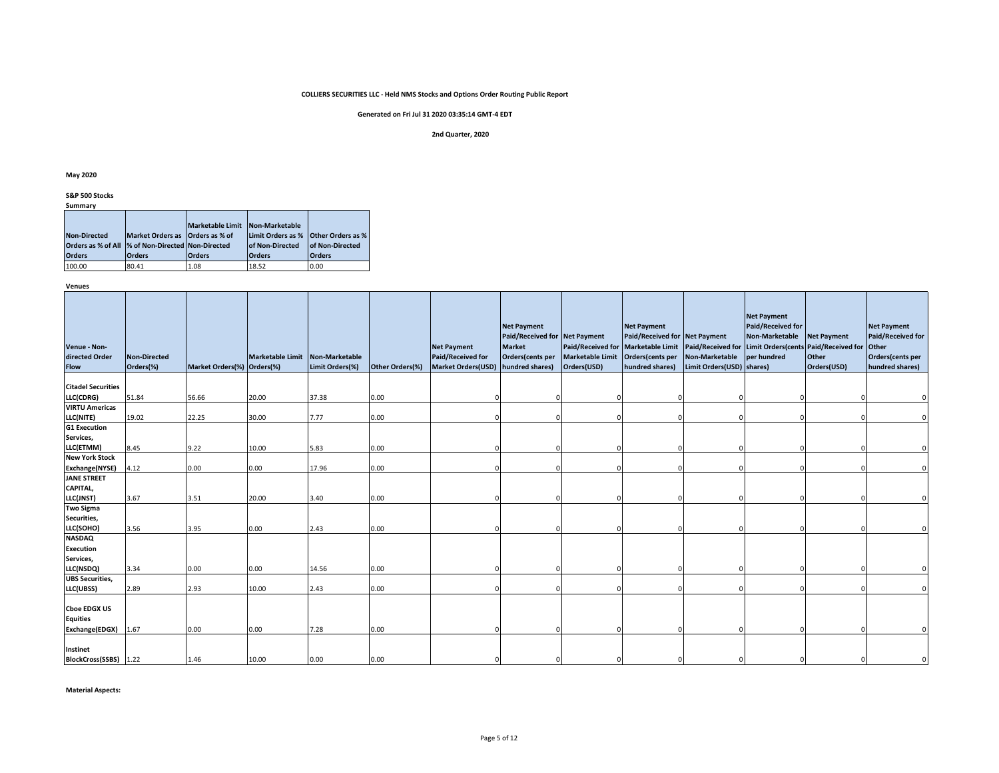# **Generated on Fri Jul 31 2020 03:35:14 GMT-4 EDT**

#### **2nd Quarter, 2020**

#### **May 2020**

#### **S&P 500 Stocks Summary**

|                     |                                 | <b>Marketable Limit</b> | Non-Marketable                      |                        |
|---------------------|---------------------------------|-------------------------|-------------------------------------|------------------------|
| <b>Non-Directed</b> | Market Orders as Orders as % of |                         | Limit Orders as % Other Orders as % |                        |
| Orders as % of All  | % of Non-Directed Non-Directed  |                         | <b>of Non-Directed</b>              | <b>of Non-Directed</b> |
| <b>Orders</b>       | <b>Orders</b>                   | <b>Orders</b>           | <b>Orders</b>                       | <b>Orders</b>          |
| 100.00              | 80.41                           | 1.08                    | 18.52                               | 0.00                   |

**Venues**

| Venue - Non-<br>directed Order<br><b>Flow</b> | <b>Non-Directed</b><br>Orders(%) | Market Orders(%) Orders(%) | Marketable Limit Non-Marketable | Limit Orders(%) | Other Orders(%) | <b>Net Payment</b><br>Paid/Received for<br><b>Market Orders(USD)</b> | <b>Net Payment</b><br>Paid/Received for Net Payment<br><b>Market</b><br>Orders(cents per<br>hundred shares) | Paid/Received for Marketable Limit<br><b>Marketable Limit</b><br>Orders(USD) | <b>Net Payment</b><br>Paid/Received for Net Payment<br>Orders(cents per<br>hundred shares) | Paid/Received for Limit Orders (cents Paid/Received for<br>Non-Marketable per hundred<br>Limit Orders(USD) shares) | <b>Net Payment</b><br>Paid/Received for<br>Non-Marketable | <b>Net Payment</b><br>Other<br>Orders(USD) | <b>Net Payment</b><br>Paid/Received for<br><b>Other</b><br>Orders(cents per<br>hundred shares) |
|-----------------------------------------------|----------------------------------|----------------------------|---------------------------------|-----------------|-----------------|----------------------------------------------------------------------|-------------------------------------------------------------------------------------------------------------|------------------------------------------------------------------------------|--------------------------------------------------------------------------------------------|--------------------------------------------------------------------------------------------------------------------|-----------------------------------------------------------|--------------------------------------------|------------------------------------------------------------------------------------------------|
| <b>Citadel Securities</b>                     |                                  |                            |                                 |                 |                 |                                                                      |                                                                                                             |                                                                              |                                                                                            |                                                                                                                    |                                                           |                                            |                                                                                                |
| LLC(CDRG)                                     | 51.84                            | 56.66                      | 20.00                           | 37.38           | 0.00            |                                                                      |                                                                                                             |                                                                              |                                                                                            |                                                                                                                    |                                                           |                                            |                                                                                                |
| <b>VIRTU Americas</b>                         |                                  |                            |                                 |                 |                 |                                                                      |                                                                                                             |                                                                              |                                                                                            |                                                                                                                    |                                                           |                                            |                                                                                                |
| LLC(NITE)                                     | 19.02                            | 22.25                      | 30.00                           | 7.77            | 0.00            |                                                                      |                                                                                                             |                                                                              |                                                                                            |                                                                                                                    |                                                           |                                            |                                                                                                |
| <b>G1 Execution</b>                           |                                  |                            |                                 |                 |                 |                                                                      |                                                                                                             |                                                                              |                                                                                            |                                                                                                                    |                                                           |                                            |                                                                                                |
| Services,                                     |                                  |                            |                                 |                 |                 |                                                                      |                                                                                                             |                                                                              |                                                                                            |                                                                                                                    |                                                           |                                            |                                                                                                |
| LLC(ETMM)                                     | 8.45                             | 9.22                       | 10.00                           | 5.83            | 0.00            |                                                                      |                                                                                                             |                                                                              |                                                                                            |                                                                                                                    |                                                           |                                            |                                                                                                |
| <b>New York Stock</b>                         |                                  |                            |                                 |                 |                 |                                                                      |                                                                                                             |                                                                              |                                                                                            |                                                                                                                    |                                                           |                                            |                                                                                                |
| <b>Exchange(NYSE)</b>                         | 4.12                             | 0.00                       | 0.00                            | 17.96           | 0.00            |                                                                      |                                                                                                             |                                                                              |                                                                                            |                                                                                                                    |                                                           |                                            |                                                                                                |
| <b>JANE STREET</b>                            |                                  |                            |                                 |                 |                 |                                                                      |                                                                                                             |                                                                              |                                                                                            |                                                                                                                    |                                                           |                                            |                                                                                                |
| CAPITAL,<br>LLC(JNST)                         | 3.67                             | 3.51                       | 20.00                           | 3.40            | 0.00            |                                                                      |                                                                                                             |                                                                              |                                                                                            |                                                                                                                    |                                                           |                                            |                                                                                                |
| <b>Two Sigma</b>                              |                                  |                            |                                 |                 |                 |                                                                      |                                                                                                             |                                                                              |                                                                                            |                                                                                                                    |                                                           |                                            |                                                                                                |
| Securities,                                   |                                  |                            |                                 |                 |                 |                                                                      |                                                                                                             |                                                                              |                                                                                            |                                                                                                                    |                                                           |                                            |                                                                                                |
| LLC(SOHO)                                     | 3.56                             | 3.95                       | 0.00                            | 2.43            | 0.00            |                                                                      |                                                                                                             |                                                                              |                                                                                            |                                                                                                                    |                                                           |                                            |                                                                                                |
| <b>NASDAQ</b>                                 |                                  |                            |                                 |                 |                 |                                                                      |                                                                                                             |                                                                              |                                                                                            |                                                                                                                    |                                                           |                                            |                                                                                                |
| <b>Execution</b>                              |                                  |                            |                                 |                 |                 |                                                                      |                                                                                                             |                                                                              |                                                                                            |                                                                                                                    |                                                           |                                            |                                                                                                |
| Services,                                     |                                  |                            |                                 |                 |                 |                                                                      |                                                                                                             |                                                                              |                                                                                            |                                                                                                                    |                                                           |                                            |                                                                                                |
| LLC(NSDQ)                                     | 3.34                             | 0.00                       | 0.00                            | 14.56           | 0.00            |                                                                      |                                                                                                             |                                                                              |                                                                                            |                                                                                                                    |                                                           |                                            |                                                                                                |
| <b>UBS Securities,</b>                        |                                  |                            |                                 |                 |                 |                                                                      |                                                                                                             |                                                                              |                                                                                            |                                                                                                                    |                                                           |                                            |                                                                                                |
| LLC(UBSS)                                     | 2.89                             | 2.93                       | 10.00                           | 2.43            | 0.00            |                                                                      |                                                                                                             |                                                                              |                                                                                            |                                                                                                                    |                                                           |                                            |                                                                                                |
| <b>Choe EDGX US</b><br><b>Equities</b>        |                                  |                            |                                 |                 |                 |                                                                      |                                                                                                             |                                                                              |                                                                                            |                                                                                                                    |                                                           |                                            |                                                                                                |
| Exchange(EDGX)                                | 1.67                             | 0.00                       | 0.00                            | 7.28            | 0.00            |                                                                      |                                                                                                             |                                                                              |                                                                                            |                                                                                                                    |                                                           |                                            |                                                                                                |
| <b>Instinet</b><br>BlockCross(SSBS) 1.22      |                                  | 1.46                       | 10.00                           | 0.00            | 0.00            |                                                                      |                                                                                                             |                                                                              |                                                                                            |                                                                                                                    |                                                           |                                            |                                                                                                |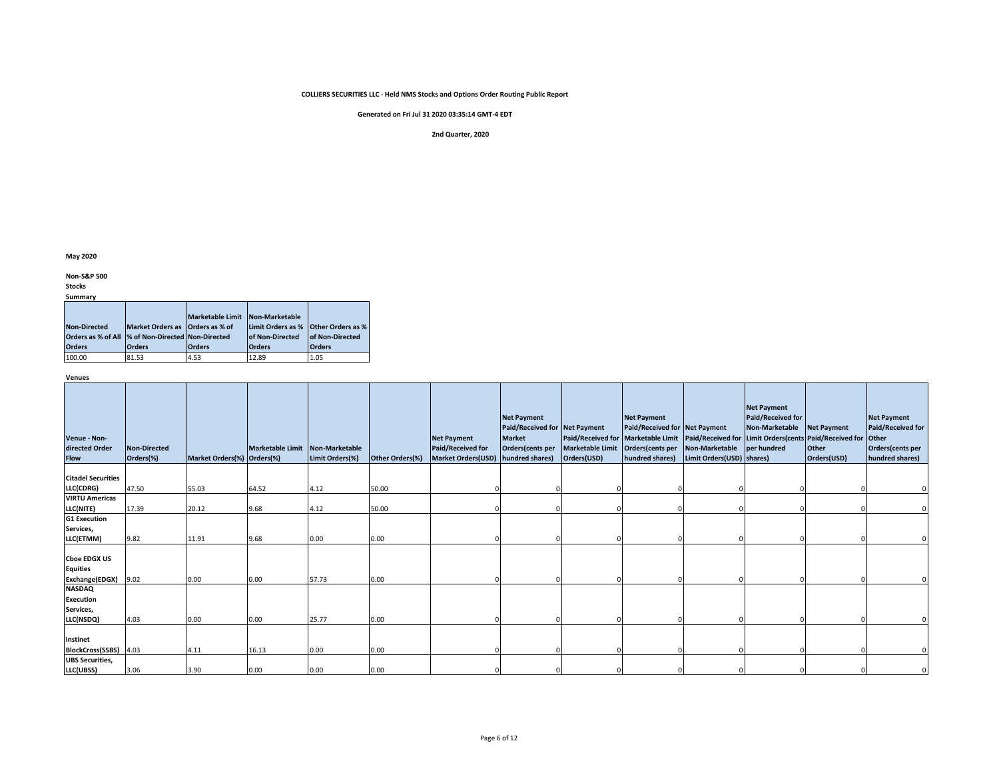**Generated on Fri Jul 31 2020 03:35:14 GMT-4 EDT**

#### **2nd Quarter, 2020**

**May 2020**

**Non-S&P 500** 

**Stocks**

**Summary**

|                     |                                                    | Marketable Limit Non-Marketable |                        |                          |
|---------------------|----------------------------------------------------|---------------------------------|------------------------|--------------------------|
| <b>Non-Directed</b> | Market Orders as Orders as % of                    |                                 | Limit Orders as %      | <b>Other Orders as %</b> |
|                     | Orders as % of All  % of Non-Directed Non-Directed |                                 | <b>of Non-Directed</b> | <b>of Non-Directed</b>   |
| <b>Orders</b>       | <b>Orders</b>                                      | <b>Orders</b>                   | <b>Orders</b>          | <b>Orders</b>            |
| 100.00              | 81.53                                              | 4.53                            | 12.89                  | 1.05                     |

**Venues**

| Venue - Non-<br>directed Order<br><b>Flow</b>            | <b>Non-Directed</b><br>Orders(%) | Market Orders(%) Orders(%) | Marketable Limit Non-Marketable | Limit Orders(%) | Other Orders(%) | <b>Net Payment</b><br>Paid/Received for<br>Market Orders(USD) hundred shares) | <b>Net Payment</b><br>Paid/Received for Net Payment<br><b>Market</b><br>Orders(cents per | <b>Marketable Limit</b><br>Orders(USD) | <b>Net Payment</b><br>Paid/Received for Net Payment<br>Orders(cents per | Paid/Received for Marketable Limit   Paid/Received for   Limit Orders(cents   Paid/Received for<br>Non-Marketable per hundred<br>hundred shares) Limit Orders(USD) shares) | <b>Net Payment</b><br>Paid/Received for<br>Non-Marketable | <b>Net Payment</b><br>Other<br>Orders(USD) | <b>Net Payment</b><br><b>Paid/Received for</b><br><b>Other</b><br>Orders(cents per<br>hundred shares) |
|----------------------------------------------------------|----------------------------------|----------------------------|---------------------------------|-----------------|-----------------|-------------------------------------------------------------------------------|------------------------------------------------------------------------------------------|----------------------------------------|-------------------------------------------------------------------------|----------------------------------------------------------------------------------------------------------------------------------------------------------------------------|-----------------------------------------------------------|--------------------------------------------|-------------------------------------------------------------------------------------------------------|
| <b>Citadel Securities</b>                                |                                  |                            |                                 |                 |                 |                                                                               |                                                                                          |                                        |                                                                         |                                                                                                                                                                            |                                                           |                                            |                                                                                                       |
| LLC(CDRG)                                                | 47.50                            | 55.03                      | 64.52                           | 4.12            | 50.00           |                                                                               |                                                                                          |                                        |                                                                         |                                                                                                                                                                            |                                                           |                                            |                                                                                                       |
| <b>VIRTU Americas</b>                                    |                                  |                            |                                 |                 |                 |                                                                               |                                                                                          |                                        |                                                                         |                                                                                                                                                                            |                                                           |                                            |                                                                                                       |
| LLC(NITE)                                                | 17.39                            | 20.12                      | 9.68                            | 4.12            | 50.00           |                                                                               |                                                                                          |                                        |                                                                         |                                                                                                                                                                            |                                                           |                                            |                                                                                                       |
| <b>G1 Execution</b>                                      |                                  |                            |                                 |                 |                 |                                                                               |                                                                                          |                                        |                                                                         |                                                                                                                                                                            |                                                           |                                            |                                                                                                       |
| Services,                                                |                                  |                            |                                 |                 |                 |                                                                               |                                                                                          |                                        |                                                                         |                                                                                                                                                                            |                                                           |                                            |                                                                                                       |
| LLC(ETMM)                                                | 9.82                             | 11.91                      | 9.68                            | 0.00            | 0.00            |                                                                               |                                                                                          |                                        |                                                                         |                                                                                                                                                                            |                                                           |                                            |                                                                                                       |
| <b>Choe EDGX US</b><br><b>Equities</b><br>Exchange(EDGX) | 9.02                             | 0.00                       | 0.00                            | 57.73           | 0.00            |                                                                               |                                                                                          |                                        |                                                                         |                                                                                                                                                                            |                                                           |                                            |                                                                                                       |
| <b>NASDAQ</b>                                            |                                  |                            |                                 |                 |                 |                                                                               |                                                                                          |                                        |                                                                         |                                                                                                                                                                            |                                                           |                                            |                                                                                                       |
| <b>Execution</b>                                         |                                  |                            |                                 |                 |                 |                                                                               |                                                                                          |                                        |                                                                         |                                                                                                                                                                            |                                                           |                                            |                                                                                                       |
| Services,                                                |                                  |                            |                                 |                 |                 |                                                                               |                                                                                          |                                        |                                                                         |                                                                                                                                                                            |                                                           |                                            |                                                                                                       |
| LLC(NSDQ)                                                | 4.03                             | 0.00                       | 0.00                            | 25.77           | 0.00            |                                                                               |                                                                                          |                                        |                                                                         |                                                                                                                                                                            |                                                           |                                            |                                                                                                       |
| Instinet<br>BlockCross(SSBS) 4.03                        |                                  | 4.11                       | 16.13                           | 0.00            | 0.00            |                                                                               |                                                                                          |                                        |                                                                         |                                                                                                                                                                            |                                                           |                                            |                                                                                                       |
| <b>UBS Securities,</b>                                   |                                  |                            |                                 |                 |                 |                                                                               |                                                                                          |                                        |                                                                         |                                                                                                                                                                            |                                                           |                                            |                                                                                                       |
| LLC(UBSS)                                                | 3.06                             | 3.90                       | 0.00                            | 0.00            | 0.00            |                                                                               |                                                                                          |                                        |                                                                         |                                                                                                                                                                            |                                                           |                                            |                                                                                                       |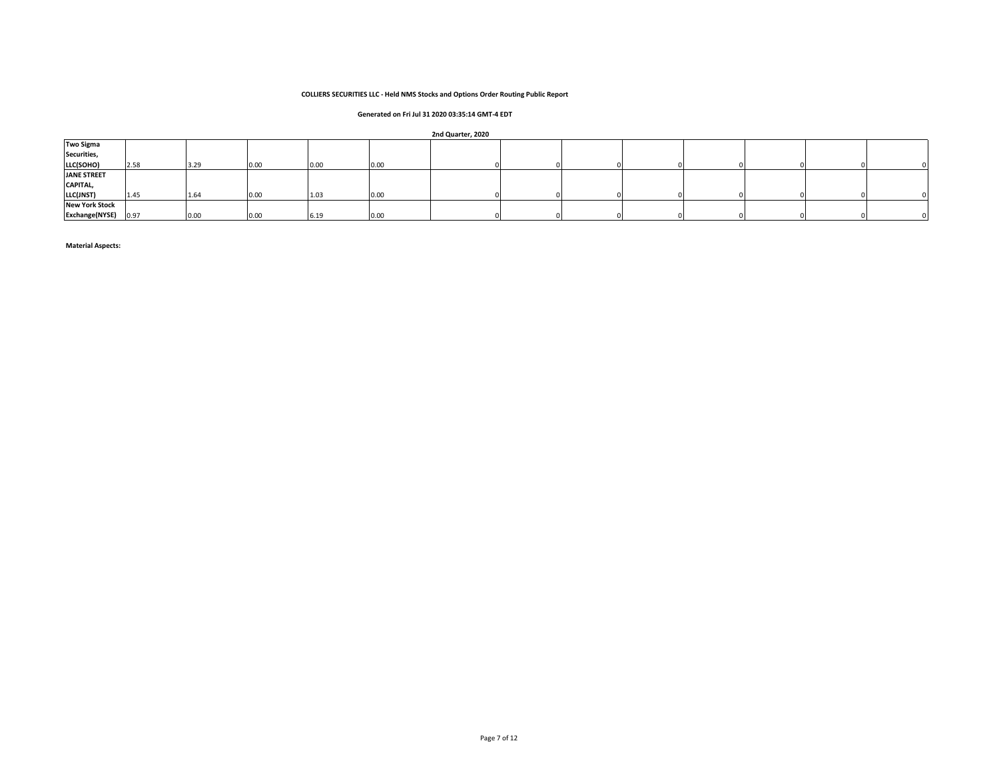# **Generated on Fri Jul 31 2020 03:35:14 GMT-4 EDT**

|  |  |  | 2nd Quarter, 2020 |  |
|--|--|--|-------------------|--|
|--|--|--|-------------------|--|

| <b>Two Sigma</b>      |      |      |      |      |      |  |  |  |  |
|-----------------------|------|------|------|------|------|--|--|--|--|
| Securities,           |      |      |      |      |      |  |  |  |  |
| LLC(SOHO)             | 2.58 | 3.29 | 0.00 | 0.00 | 0.00 |  |  |  |  |
| <b>JANE STREET</b>    |      |      |      |      |      |  |  |  |  |
| CAPITAL,              |      |      |      |      |      |  |  |  |  |
| LLC(JNST)             | 1.45 | 1.64 | 0.00 | 1.03 | 0.00 |  |  |  |  |
| <b>New York Stock</b> |      |      |      |      |      |  |  |  |  |
| <b>Exchange(NYSE)</b> | 0.97 | 0.00 | 0.00 | 6.19 | 0.00 |  |  |  |  |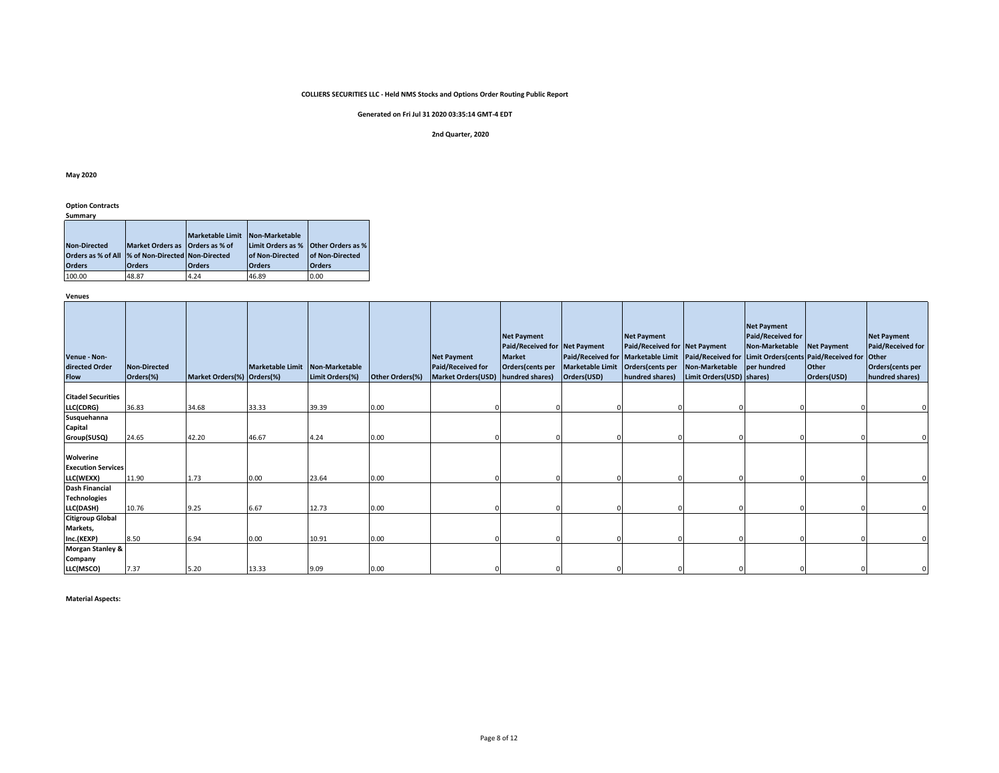# **Generated on Fri Jul 31 2020 03:35:14 GMT-4 EDT**

#### **2nd Quarter, 2020**

#### **May 2020**

# **Option Contracts**

**Summary**

|                     |                                                    | <b>Marketable Limit</b> | Non-Marketable                      |                  |
|---------------------|----------------------------------------------------|-------------------------|-------------------------------------|------------------|
| <b>Non-Directed</b> | Market Orders as Orders as % of                    |                         | Limit Orders as % Other Orders as % |                  |
|                     | Orders as % of All  % of Non-Directed Non-Directed |                         | <b>of Non-Directed</b>              | lof Non-Directed |
| <b>Orders</b>       | <b>Orders</b>                                      | <b>Orders</b>           | <b>Orders</b>                       | <b>Orders</b>    |
| 100.00              | 48.87                                              | 4.24                    | 46.89                               | 0.00             |

**Venues**

| Venue - Non-<br>directed Order<br><b>Flow</b> | Non-Directed<br>Orders(%) | Market Orders(%) Orders(%) | <b>Marketable Limit</b> | Non-Marketable<br>Limit Orders(%) | Other Orders(%) | <b>Net Payment</b><br>Paid/Received for<br><b>Market Orders(USD)</b> | <b>Net Payment</b><br>Paid/Received for Net Payment<br><b>Market</b><br>Orders(cents per<br>hundred shares) | <b>Marketable Limit</b><br>Orders(USD) | Net Payment<br>Paid/Received for Net Payment<br>Paid/Received for Marketable Limit Paid/Received for Limit Orders (cents Paid/Received for Other<br>Orders(cents per<br>hundred shares) | Non-Marketable<br>Limit Orders(USD) shares) | <b>Net Payment</b><br><b>Paid/Received for</b><br>Non-Marketable<br>per hundred | Net Payment<br>Other<br>Orders(USD) | <b>Net Payment</b><br><b>Paid/Received for</b><br>Orders(cents per<br>hundred shares) |
|-----------------------------------------------|---------------------------|----------------------------|-------------------------|-----------------------------------|-----------------|----------------------------------------------------------------------|-------------------------------------------------------------------------------------------------------------|----------------------------------------|-----------------------------------------------------------------------------------------------------------------------------------------------------------------------------------------|---------------------------------------------|---------------------------------------------------------------------------------|-------------------------------------|---------------------------------------------------------------------------------------|
|                                               |                           |                            |                         |                                   |                 |                                                                      |                                                                                                             |                                        |                                                                                                                                                                                         |                                             |                                                                                 |                                     |                                                                                       |
| <b>Citadel Securities</b><br>LLC(CDRG)        | 36.83                     | 34.68                      | 33.33                   | 39.39                             | 0.00            |                                                                      |                                                                                                             |                                        |                                                                                                                                                                                         |                                             |                                                                                 |                                     |                                                                                       |
| Susquehanna                                   |                           |                            |                         |                                   |                 |                                                                      |                                                                                                             |                                        |                                                                                                                                                                                         |                                             |                                                                                 |                                     |                                                                                       |
| Capital                                       |                           |                            |                         |                                   |                 |                                                                      |                                                                                                             |                                        |                                                                                                                                                                                         |                                             |                                                                                 |                                     |                                                                                       |
| Group(SUSQ)                                   | 24.65                     | 42.20                      | 46.67                   | 4.24                              | 0.00            |                                                                      |                                                                                                             |                                        |                                                                                                                                                                                         |                                             |                                                                                 |                                     |                                                                                       |
| Wolverine<br><b>Execution Services</b>        |                           |                            |                         |                                   |                 |                                                                      |                                                                                                             |                                        |                                                                                                                                                                                         |                                             |                                                                                 |                                     |                                                                                       |
| LLC(WEXX)<br><b>Dash Financial</b>            | 11.90                     | 1.73                       | 0.00                    | 23.64                             | 0.00            |                                                                      |                                                                                                             |                                        |                                                                                                                                                                                         |                                             |                                                                                 |                                     |                                                                                       |
| <b>Technologies</b><br>LLC(DASH)              | 10.76                     | 9.25                       | 6.67                    | 12.73                             | 0.00            |                                                                      |                                                                                                             |                                        |                                                                                                                                                                                         |                                             |                                                                                 |                                     |                                                                                       |
| <b>Citigroup Global</b>                       |                           |                            |                         |                                   |                 |                                                                      |                                                                                                             |                                        |                                                                                                                                                                                         |                                             |                                                                                 |                                     |                                                                                       |
| Markets,<br>Inc.(KEXP)                        | 8.50                      | 6.94                       | 0.00                    | 10.91                             | 0.00            |                                                                      |                                                                                                             |                                        |                                                                                                                                                                                         |                                             |                                                                                 |                                     |                                                                                       |
| <b>Morgan Stanley &amp;</b>                   |                           |                            |                         |                                   |                 |                                                                      |                                                                                                             |                                        |                                                                                                                                                                                         |                                             |                                                                                 |                                     |                                                                                       |
| Company<br>LLC(MSCO)                          | 7.37                      | 5.20                       | 13.33                   | 9.09                              | 0.00            |                                                                      |                                                                                                             |                                        |                                                                                                                                                                                         |                                             |                                                                                 |                                     |                                                                                       |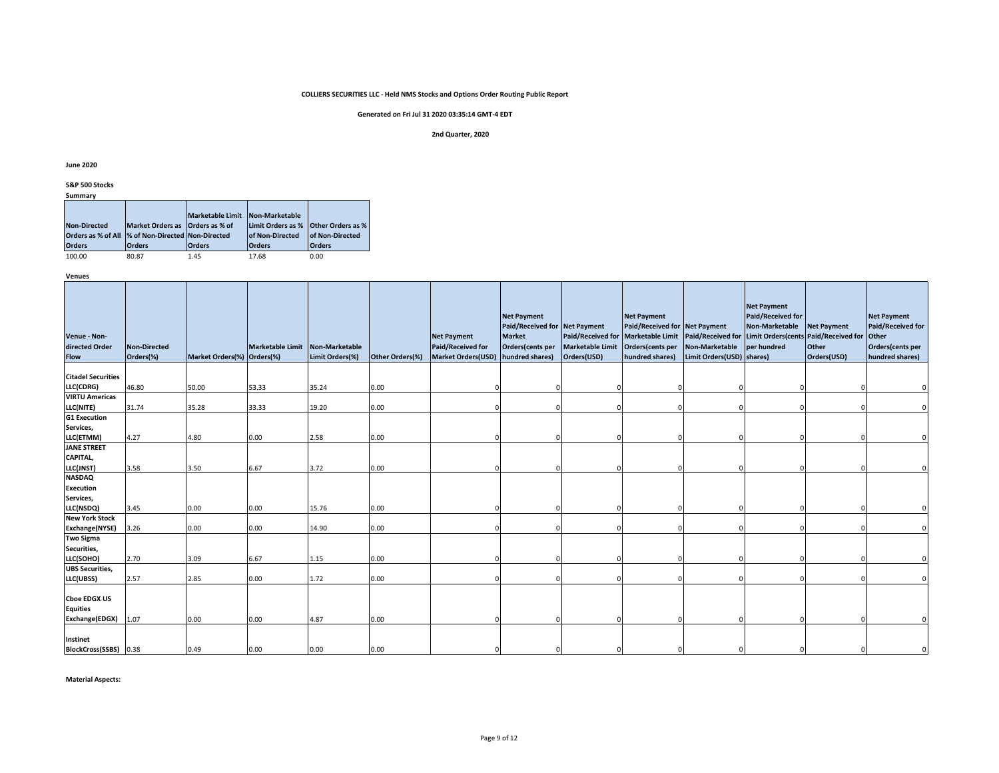# **Generated on Fri Jul 31 2020 03:35:14 GMT-4 EDT**

#### **2nd Quarter, 2020**

**June 2020**

**S&P 500 Stocks**

| Summary                                            |                                 |                         |                                            |                 |
|----------------------------------------------------|---------------------------------|-------------------------|--------------------------------------------|-----------------|
|                                                    |                                 |                         |                                            |                 |
|                                                    |                                 | <b>Marketable Limit</b> | Non-Marketable                             |                 |
| <b>Non-Directed</b>                                | Market Orders as Orders as % of |                         | <b>Limit Orders as % Other Orders as %</b> |                 |
| Orders as % of All  % of Non-Directed Non-Directed |                                 |                         | <b>of Non-Directed</b>                     | of Non-Directed |
| <b>Orders</b>                                      | <b>Orders</b>                   | <b>Orders</b>           | <b>Orders</b>                              | <b>Orders</b>   |
| 100.00                                             | 80.87                           | 1.45                    | 17.68                                      | 0.00            |

100.00 80.87 1.45 17.68 0.00

**Venues**

| Venue - Non-<br>directed Order<br><b>Flow</b>            | <b>Non-Directed</b><br>Orders(%) | Market Orders(%) Orders(%) | Marketable Limit Non-Marketable | Limit Orders(%) | Other Orders(%) | <b>Net Payment</b><br><b>Paid/Received for</b><br>Market Orders(USD) hundred shares) | <b>Net Payment</b><br>Paid/Received for Net Payment<br><b>Market</b><br>Orders(cents per | <b>Paid/Received for</b><br><b>Marketable Limit</b><br>Orders(USD) | <b>Net Payment</b><br>Paid/Received for Net Payment<br><b>Marketable Limit</b><br>Orders(cents per<br>hundred shares) | <b>Non-Marketable</b><br>Limit Orders(USD) shares) | <b>Net Payment</b><br><b>Paid/Received for</b><br>Non-Marketable<br>per hundred | <b>Net Payment</b><br>Paid/Received for Limit Orders (cents Paid/Received for<br>Other<br>Orders(USD) | <b>Net Payment</b><br>Paid/Received for<br><b>Other</b><br>Orders(cents per<br>hundred shares) |
|----------------------------------------------------------|----------------------------------|----------------------------|---------------------------------|-----------------|-----------------|--------------------------------------------------------------------------------------|------------------------------------------------------------------------------------------|--------------------------------------------------------------------|-----------------------------------------------------------------------------------------------------------------------|----------------------------------------------------|---------------------------------------------------------------------------------|-------------------------------------------------------------------------------------------------------|------------------------------------------------------------------------------------------------|
| <b>Citadel Securities</b>                                |                                  |                            |                                 |                 |                 |                                                                                      |                                                                                          |                                                                    |                                                                                                                       |                                                    |                                                                                 |                                                                                                       |                                                                                                |
| LLC(CDRG)                                                | 46.80                            | 50.00                      | 53.33                           | 35.24           | 0.00            |                                                                                      |                                                                                          |                                                                    |                                                                                                                       |                                                    |                                                                                 |                                                                                                       |                                                                                                |
| <b>VIRTU Americas</b><br>LLC(NITE)                       | 31.74                            | 35.28                      | 33.33                           | 19.20           | 0.00            |                                                                                      |                                                                                          |                                                                    |                                                                                                                       |                                                    |                                                                                 |                                                                                                       |                                                                                                |
| <b>G1 Execution</b>                                      |                                  |                            |                                 |                 |                 |                                                                                      |                                                                                          |                                                                    |                                                                                                                       |                                                    |                                                                                 |                                                                                                       |                                                                                                |
| Services,                                                |                                  |                            |                                 |                 |                 |                                                                                      |                                                                                          |                                                                    |                                                                                                                       |                                                    |                                                                                 |                                                                                                       |                                                                                                |
| LLC(ETMM)                                                | 4.27                             | 4.80                       | 0.00                            | 2.58            | 0.00            |                                                                                      |                                                                                          |                                                                    |                                                                                                                       |                                                    |                                                                                 | $\Omega$                                                                                              |                                                                                                |
| <b>JANE STREET</b>                                       |                                  |                            |                                 |                 |                 |                                                                                      |                                                                                          |                                                                    |                                                                                                                       |                                                    |                                                                                 |                                                                                                       |                                                                                                |
| CAPITAL,                                                 |                                  |                            |                                 |                 |                 |                                                                                      |                                                                                          |                                                                    |                                                                                                                       |                                                    |                                                                                 |                                                                                                       |                                                                                                |
| LLC(JNST)<br><b>NASDAQ</b>                               | 3.58                             | 3.50                       | 6.67                            | 3.72            | 0.00            |                                                                                      |                                                                                          |                                                                    |                                                                                                                       |                                                    |                                                                                 |                                                                                                       |                                                                                                |
| <b>Execution</b>                                         |                                  |                            |                                 |                 |                 |                                                                                      |                                                                                          |                                                                    |                                                                                                                       |                                                    |                                                                                 |                                                                                                       |                                                                                                |
| Services,                                                |                                  |                            |                                 |                 |                 |                                                                                      |                                                                                          |                                                                    |                                                                                                                       |                                                    |                                                                                 |                                                                                                       |                                                                                                |
| LLC(NSDQ)                                                | 3.45                             | 0.00                       | 0.00                            | 15.76           | 0.00            |                                                                                      |                                                                                          |                                                                    |                                                                                                                       |                                                    |                                                                                 |                                                                                                       |                                                                                                |
| <b>New York Stock</b>                                    |                                  |                            |                                 |                 |                 |                                                                                      |                                                                                          |                                                                    |                                                                                                                       |                                                    |                                                                                 |                                                                                                       |                                                                                                |
| Exchange(NYSE)                                           | 3.26                             | 0.00                       | 0.00                            | 14.90           | 0.00            |                                                                                      |                                                                                          |                                                                    |                                                                                                                       |                                                    |                                                                                 |                                                                                                       | $\Omega$                                                                                       |
| <b>Two Sigma</b>                                         |                                  |                            |                                 |                 |                 |                                                                                      |                                                                                          |                                                                    |                                                                                                                       |                                                    |                                                                                 |                                                                                                       |                                                                                                |
| Securities,                                              |                                  |                            |                                 |                 |                 |                                                                                      |                                                                                          |                                                                    |                                                                                                                       |                                                    |                                                                                 |                                                                                                       |                                                                                                |
| LLC(SOHO)                                                | 2.70                             | 3.09                       | 6.67                            | 1.15            | 0.00            |                                                                                      |                                                                                          |                                                                    |                                                                                                                       |                                                    |                                                                                 |                                                                                                       |                                                                                                |
| <b>UBS Securities,</b>                                   |                                  |                            |                                 |                 |                 |                                                                                      |                                                                                          |                                                                    |                                                                                                                       |                                                    |                                                                                 |                                                                                                       |                                                                                                |
| LLC(UBSS)                                                | 2.57                             | 2.85                       | 0.00                            | 1.72            | 0.00            |                                                                                      |                                                                                          |                                                                    |                                                                                                                       |                                                    |                                                                                 |                                                                                                       | $\Omega$                                                                                       |
| <b>Choe EDGX US</b><br><b>Equities</b><br>Exchange(EDGX) | 1.07                             | 0.00                       | 0.00                            | 4.87            | 0.00            |                                                                                      |                                                                                          |                                                                    |                                                                                                                       |                                                    |                                                                                 |                                                                                                       |                                                                                                |
|                                                          |                                  |                            |                                 |                 |                 |                                                                                      |                                                                                          |                                                                    |                                                                                                                       |                                                    |                                                                                 |                                                                                                       |                                                                                                |
| Instinet<br>BlockCross(SSBS) 0.38                        |                                  | 0.49                       | 0.00                            | 0.00            | 0.00            |                                                                                      |                                                                                          |                                                                    |                                                                                                                       |                                                    |                                                                                 |                                                                                                       |                                                                                                |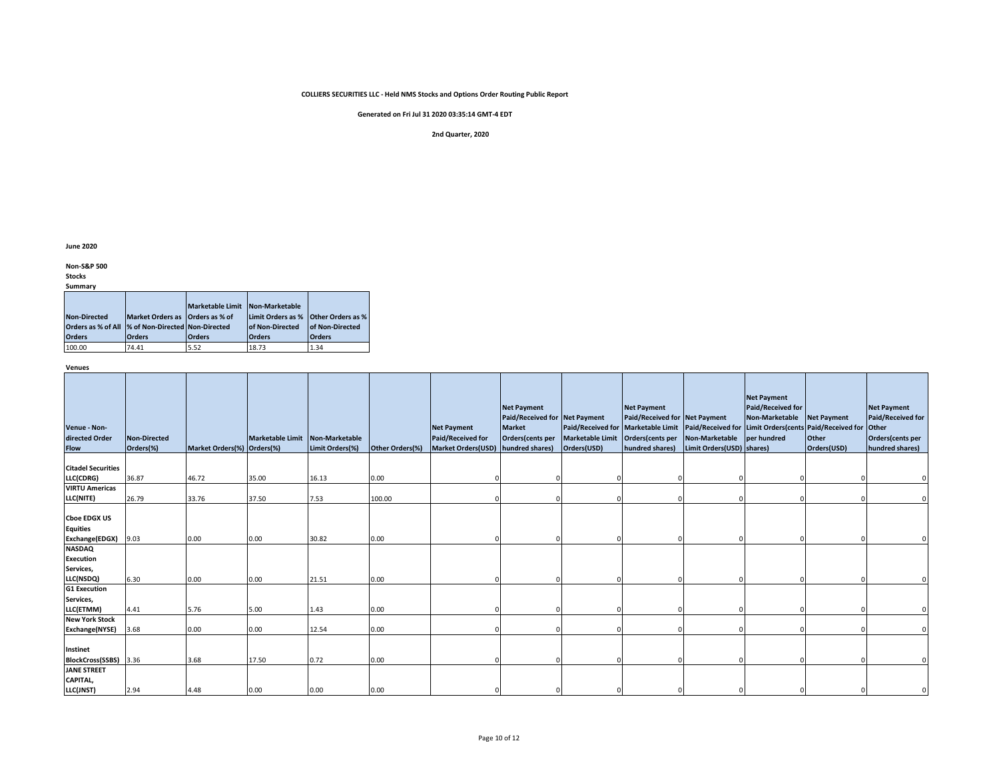**Generated on Fri Jul 31 2020 03:35:14 GMT-4 EDT**

#### **2nd Quarter, 2020**

**June 2020**

**Non-S&P 500** 

**Stocks**

| Summary |
|---------|
|---------|

|                                                    |                                 | <b>Marketable Limit</b> | Non-Marketable         |                          |
|----------------------------------------------------|---------------------------------|-------------------------|------------------------|--------------------------|
| <b>Non-Directed</b>                                | Market Orders as Orders as % of |                         | Limit Orders as %      | <b>Other Orders as %</b> |
| Orders as % of All  % of Non-Directed Non-Directed |                                 |                         | <b>of Non-Directed</b> | <b>of Non-Directed</b>   |
| <b>Orders</b>                                      | <b>Orders</b>                   | <b>Orders</b>           | <b>Orders</b>          | <b>Orders</b>            |
| 100.00                                             | 74.41                           | 5.52                    | 18.73                  | 1.34                     |

**Venues**

| Venue - Non-<br>directed Order<br><b>Flow</b>               | <b>Non-Directed</b><br>Orders(%) | Market Orders(%) Orders(%) | Marketable Limit Non-Marketable | Limit Orders(%) | Other Orders(%) | <b>Net Payment</b><br>Paid/Received for<br>Market Orders(USD) hundred shares) | <b>Net Payment</b><br>Paid/Received for Net Payment<br><b>Market</b><br>Orders(cents per | <b>Marketable Limit</b><br>Orders(USD) | <b>Net Payment</b><br>Paid/Received for Net Payment<br>Paid/Received for Marketable Limit   Paid/Received for   Limit Orders(cents   Paid/Received for   Other<br>Orders(cents per<br>hundred shares) | Non-Marketable<br>Limit Orders(USD) shares) | <b>Net Payment</b><br><b>Paid/Received for</b><br>Non-Marketable<br>per hundred | <b>Net Payment</b><br><b>Other</b><br>Orders(USD) | <b>Net Payment</b><br><b>Paid/Received for</b><br>Orders(cents per<br>hundred shares) |
|-------------------------------------------------------------|----------------------------------|----------------------------|---------------------------------|-----------------|-----------------|-------------------------------------------------------------------------------|------------------------------------------------------------------------------------------|----------------------------------------|-------------------------------------------------------------------------------------------------------------------------------------------------------------------------------------------------------|---------------------------------------------|---------------------------------------------------------------------------------|---------------------------------------------------|---------------------------------------------------------------------------------------|
| <b>Citadel Securities</b>                                   |                                  |                            |                                 |                 |                 |                                                                               |                                                                                          |                                        |                                                                                                                                                                                                       |                                             |                                                                                 |                                                   |                                                                                       |
| LLC(CDRG)                                                   | 36.87                            | 46.72                      | 35.00                           | 16.13           | 0.00            |                                                                               |                                                                                          |                                        |                                                                                                                                                                                                       |                                             |                                                                                 |                                                   |                                                                                       |
| <b>VIRTU Americas</b>                                       |                                  |                            |                                 |                 |                 |                                                                               |                                                                                          |                                        |                                                                                                                                                                                                       |                                             |                                                                                 |                                                   |                                                                                       |
| LLC(NITE)                                                   | 26.79                            | 33.76                      | 37.50                           | 7.53            | 100.00          |                                                                               |                                                                                          |                                        |                                                                                                                                                                                                       |                                             |                                                                                 |                                                   |                                                                                       |
| <b>Choe EDGX US</b><br><b>Equities</b><br>Exchange(EDGX)    | 9.03                             | 0.00                       | 0.00                            | 30.82           | 0.00            |                                                                               |                                                                                          |                                        |                                                                                                                                                                                                       |                                             |                                                                                 | $\Omega$                                          |                                                                                       |
| <b>NASDAQ</b><br><b>Execution</b><br>Services,<br>LLC(NSDQ) | 6.30                             | 0.00                       | 0.00                            | 21.51           | 0.00            |                                                                               |                                                                                          |                                        |                                                                                                                                                                                                       |                                             |                                                                                 |                                                   |                                                                                       |
| <b>G1 Execution</b><br>Services,                            |                                  |                            |                                 |                 |                 |                                                                               |                                                                                          |                                        |                                                                                                                                                                                                       |                                             |                                                                                 |                                                   |                                                                                       |
| LLC(ETMM)<br><b>New York Stock</b>                          | 4.41                             | 5.76                       | 5.00                            | 1.43            | 0.00            |                                                                               |                                                                                          |                                        |                                                                                                                                                                                                       |                                             |                                                                                 |                                                   |                                                                                       |
| Exchange(NYSE)                                              | 3.68                             | 0.00                       | 0.00                            | 12.54           | 0.00            |                                                                               |                                                                                          |                                        |                                                                                                                                                                                                       |                                             |                                                                                 |                                                   |                                                                                       |
| Instinet<br>BlockCross(SSBS) 3.36                           |                                  | 3.68                       | 17.50                           | 0.72            | 0.00            |                                                                               |                                                                                          |                                        |                                                                                                                                                                                                       |                                             |                                                                                 |                                                   |                                                                                       |
| <b>JANE STREET</b><br>CAPITAL,                              |                                  |                            |                                 |                 |                 |                                                                               |                                                                                          |                                        |                                                                                                                                                                                                       |                                             |                                                                                 |                                                   |                                                                                       |
| LLC(JNST)                                                   | 2.94                             | 4.48                       | 0.00                            | 0.00            | 0.00            |                                                                               |                                                                                          |                                        |                                                                                                                                                                                                       |                                             |                                                                                 |                                                   |                                                                                       |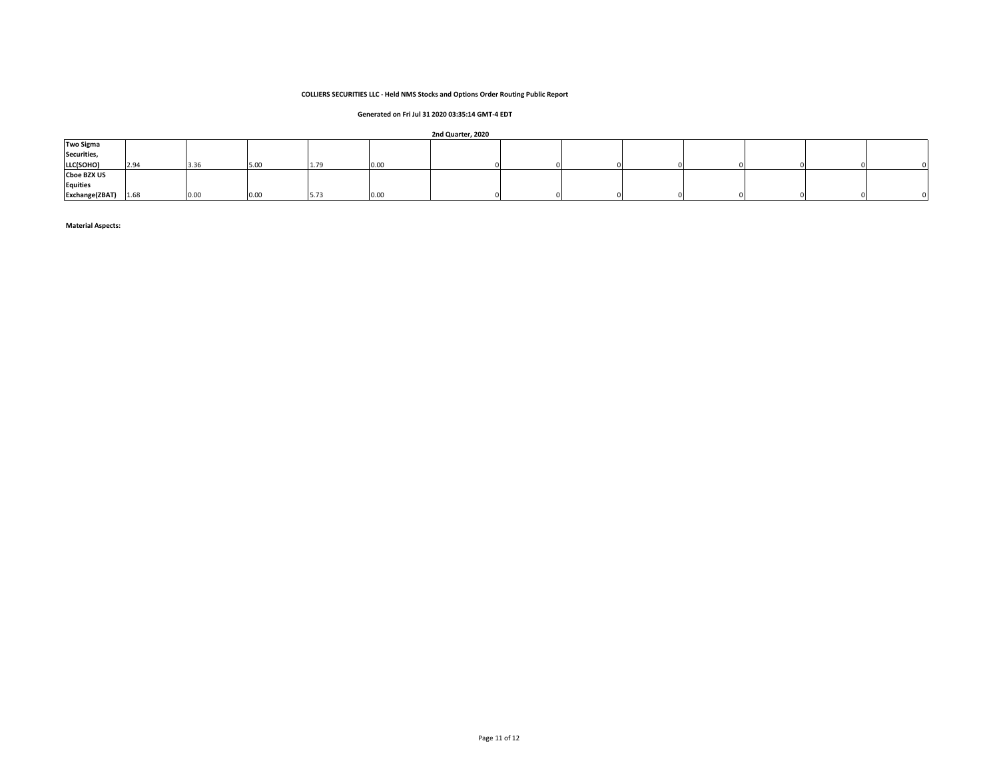# **Generated on Fri Jul 31 2020 03:35:14 GMT-4 EDT**

#### **2nd Quarter, 2020**

| <b>Two Sigma</b>   |      |      |      |      |             | . |  |  |  |  |
|--------------------|------|------|------|------|-------------|---|--|--|--|--|
| Securities,        |      |      |      |      |             |   |  |  |  |  |
| LLC(SOHO)          | 2.94 | 3.36 | 5.00 | 1.79 | TU.UL       |   |  |  |  |  |
| <b>Cboe BZX US</b> |      |      |      |      |             |   |  |  |  |  |
| <b>Equities</b>    |      |      |      |      |             |   |  |  |  |  |
| Exchange(ZBAT)     | 1.68 | 0.00 | 0.00 | 5.73 | <b>U.UU</b> |   |  |  |  |  |